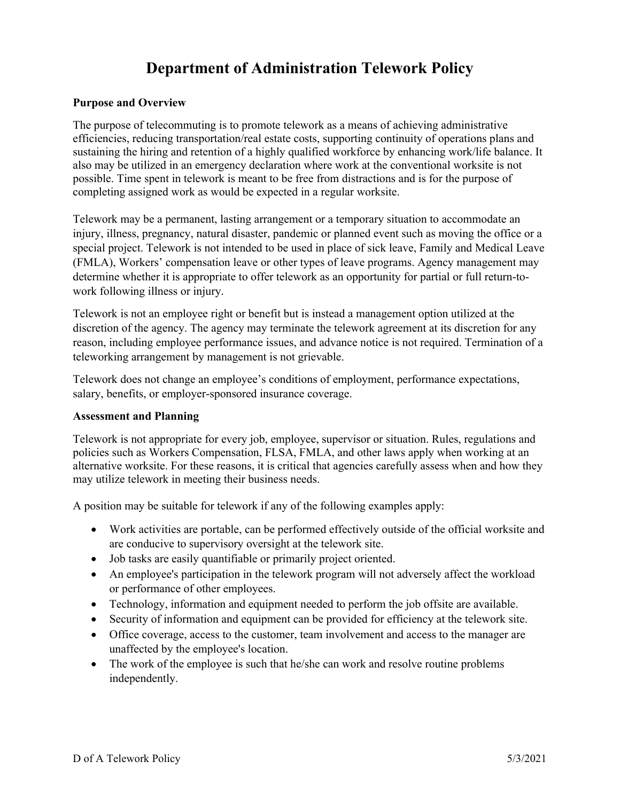# **Department of Administration Telework Policy**

#### **Purpose and Overview**

The purpose of telecommuting is to promote telework as a means of achieving administrative efficiencies, reducing transportation/real estate costs, supporting continuity of operations plans and sustaining the hiring and retention of a highly qualified workforce by enhancing work/life balance. It also may be utilized in an emergency declaration where work at the conventional worksite is not possible. Time spent in telework is meant to be free from distractions and is for the purpose of completing assigned work as would be expected in a regular worksite.

Telework may be a permanent, lasting arrangement or a temporary situation to accommodate an injury, illness, pregnancy, natural disaster, pandemic or planned event such as moving the office or a special project. Telework is not intended to be used in place of sick leave, Family and Medical Leave (FMLA), Workers' compensation leave or other types of leave programs. Agency management may determine whether it is appropriate to offer telework as an opportunity for partial or full return-towork following illness or injury.

Telework is not an employee right or benefit but is instead a management option utilized at the discretion of the agency. The agency may terminate the telework agreement at its discretion for any reason, including employee performance issues, and advance notice is not required. Termination of a teleworking arrangement by management is not grievable.

Telework does not change an employee's conditions of employment, performance expectations, salary, benefits, or employer-sponsored insurance coverage.

#### **Assessment and Planning**

Telework is not appropriate for every job, employee, supervisor or situation. Rules, regulations and policies such as Workers Compensation, FLSA, FMLA, and other laws apply when working at an alternative worksite. For these reasons, it is critical that agencies carefully assess when and how they may utilize telework in meeting their business needs.

A position may be suitable for telework if any of the following examples apply:

- Work activities are portable, can be performed effectively outside of the official worksite and are conducive to supervisory oversight at the telework site.
- Job tasks are easily quantifiable or primarily project oriented.
- An employee's participation in the telework program will not adversely affect the workload or performance of other employees.
- Technology, information and equipment needed to perform the job offsite are available.
- Security of information and equipment can be provided for efficiency at the telework site.
- Office coverage, access to the customer, team involvement and access to the manager are unaffected by the employee's location.
- The work of the employee is such that he/she can work and resolve routine problems independently.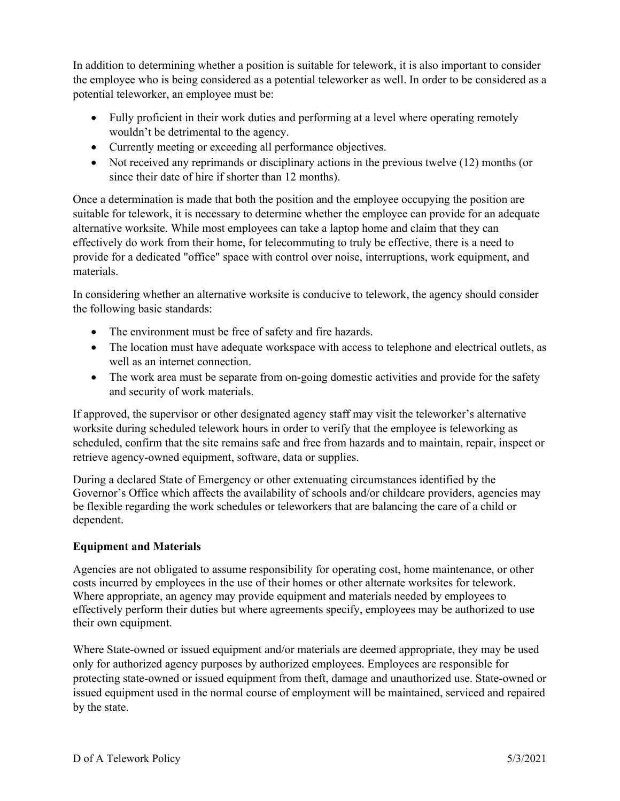In addition to determining whether a position is suitable for telework, it is also important to consider the employee who is being considered as a potential teleworker as well. In order to be considered as a potential teleworker, an employee must be:

- Fully proficient in their work duties and performing at a level where operating remotely wouldn't be detrimental to the agency.
- Currently meeting or exceeding all performance objectives.
- Not received any reprimands or disciplinary actions in the previous twelve (12) months (or since their date of hire if shorter than 12 months).

Once a determination is made that both the position and the employee occupying the position are suitable for telework, it is necessary to determine whether the employee can provide for an adequate alternative worksite. While most employees can take a laptop home and claim that they can effectively do work from their home, for telecommuting to truly be effective, there is a need to provide for a dedicated "office" space with control over noise, interruptions, work equipment, and materials.

In considering whether an alternative worksite is conducive to telework, the agency should consider the following basic standards:

- The environment must be free of safety and fire hazards.
- The location must have adequate workspace with access to telephone and electrical outlets, as well as an internet connection.
- The work area must be separate from on-going domestic activities and provide for the safety and security of work materials.

If approved, the supervisor or other designated agency staff may visit the teleworker's alternative worksite during scheduled telework hours in order to verify that the employee is teleworking as scheduled, confirm that the site remains safe and free from hazards and to maintain, repair, inspect or retrieve agency-owned equipment, software, data or supplies.

During a declared State of Emergency or other extenuating circumstances identified by the Governor's Office which affects the availability of schools and/or childcare providers, agencies may be flexible regarding the work schedules or teleworkers that are balancing the care of a child or dependent.

# **Equipment and Materials**

Agencies are not obligated to assume responsibility for operating cost, home maintenance, or other costs incurred by employees in the use of their homes or other alternate worksites for telework. Where appropriate, an agency may provide equipment and materials needed by employees to effectively perform their duties but where agreements specify, employees may be authorized to use their own equipment.

Where State-owned or issued equipment and/or materials are deemed appropriate, they may be used only for authorized agency purposes by authorized employees. Employees are responsible for protecting state-owned or issued equipment from theft, damage and unauthorized use. State-owned or issued equipment used in the normal course of employment will be maintained, serviced and repaired by the state.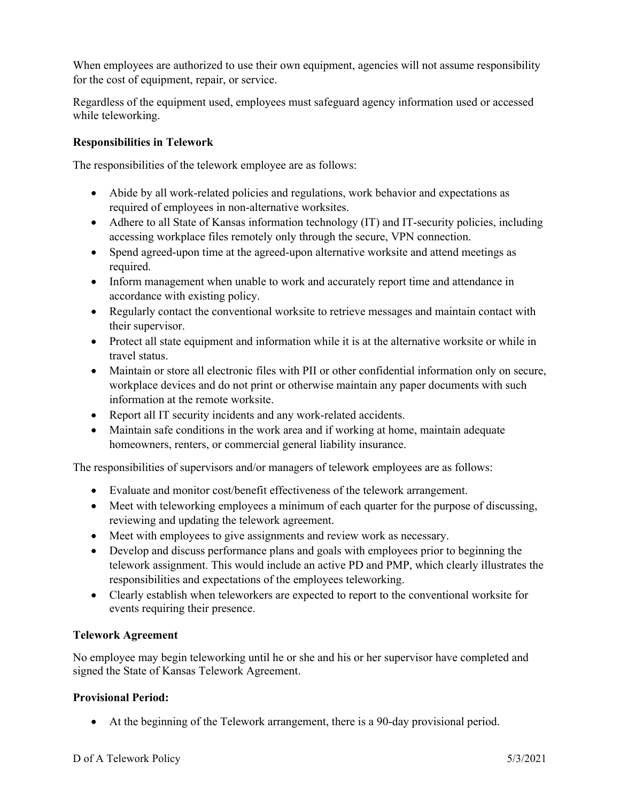When employees are authorized to use their own equipment, agencies will not assume responsibility for the cost of equipment, repair, or service.

Regardless of the equipment used, employees must safeguard agency information used or accessed while teleworking.

# **Responsibilities in Telework**

The responsibilities of the telework employee are as follows:

- Abide by all work-related policies and regulations, work behavior and expectations as required of employees in non-alternative worksites.
- Adhere to all State of Kansas information technology (IT) and IT-security policies, including accessing workplace files remotely only through the secure, VPN connection.
- Spend agreed-upon time at the agreed-upon alternative worksite and attend meetings as required.
- Inform management when unable to work and accurately report time and attendance in accordance with existing policy.
- Regularly contact the conventional worksite to retrieve messages and maintain contact with their supervisor.
- Protect all state equipment and information while it is at the alternative worksite or while in travel status.
- Maintain or store all electronic files with PII or other confidential information only on secure, workplace devices and do not print or otherwise maintain any paper documents with such information at the remote worksite.
- Report all IT security incidents and any work-related accidents.
- Maintain safe conditions in the work area and if working at home, maintain adequate homeowners, renters, or commercial general liability insurance.

The responsibilities of supervisors and/or managers of telework employees are as follows:

- Evaluate and monitor cost/benefit effectiveness of the telework arrangement.
- Meet with teleworking employees a minimum of each quarter for the purpose of discussing, reviewing and updating the telework agreement.
- Meet with employees to give assignments and review work as necessary.
- Develop and discuss performance plans and goals with employees prior to beginning the telework assignment. This would include an active PD and PMP, which clearly illustrates the responsibilities and expectations of the employees teleworking.
- Clearly establish when teleworkers are expected to report to the conventional worksite for events requiring their presence.

## **Telework Agreement**

No employee may begin teleworking until he or she and his or her supervisor have completed and signed the State of Kansas Telework Agreement.

## **Provisional Period:**

At the beginning of the Telework arrangement, there is a 90-day provisional period.